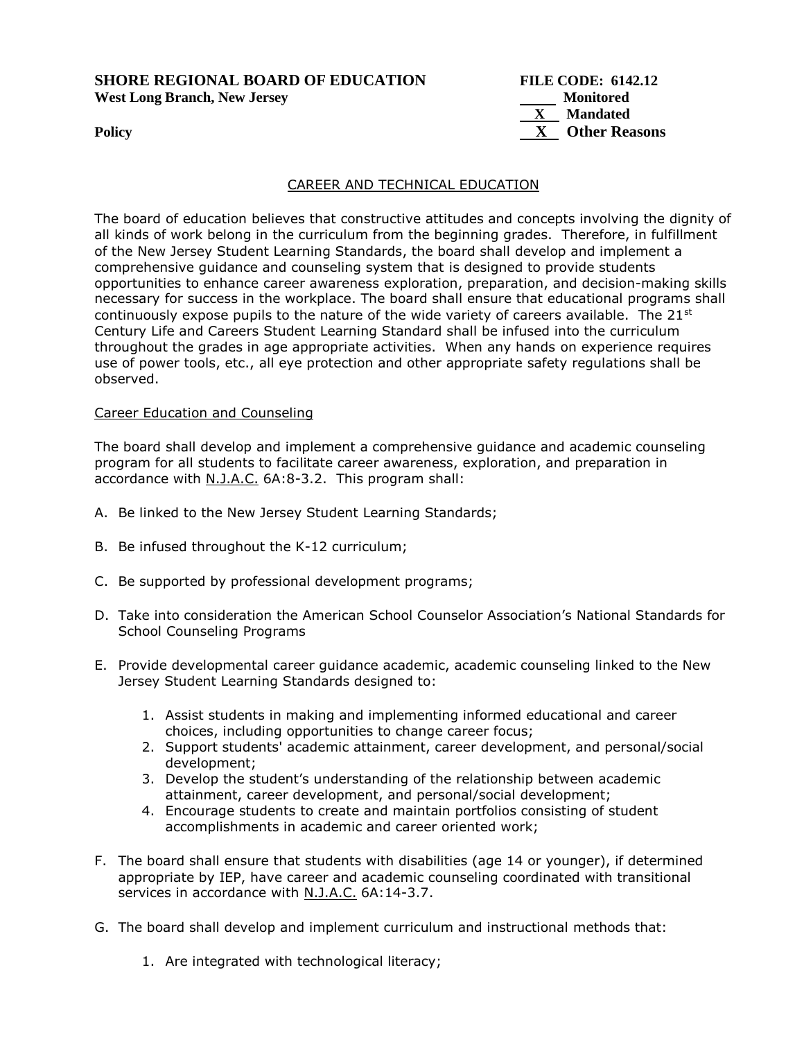# **SHORE REGIONAL BOARD OF EDUCATION FILE CODE: 6142.12**<br>West Long Branch, New Jersey Monitored Monitored **West Long Branch, New Jersey**

# CAREER AND TECHNICAL EDUCATION

The board of education believes that constructive attitudes and concepts involving the dignity of all kinds of work belong in the curriculum from the beginning grades. Therefore, in fulfillment of the New Jersey Student Learning Standards, the board shall develop and implement a comprehensive guidance and counseling system that is designed to provide students opportunities to enhance career awareness exploration, preparation, and decision-making skills necessary for success in the workplace. The board shall ensure that educational programs shall continuously expose pupils to the nature of the wide variety of careers available. The  $21^{st}$ Century Life and Careers Student Learning Standard shall be infused into the curriculum throughout the grades in age appropriate activities. When any hands on experience requires use of power tools, etc., all eye protection and other appropriate safety regulations shall be observed.

## Career Education and Counseling

The board shall develop and implement a comprehensive guidance and academic counseling program for all students to facilitate career awareness, exploration, and preparation in accordance with N.J.A.C. 6A:8-3.2. This program shall:

- A. Be linked to the New Jersey Student Learning Standards;
- B. Be infused throughout the K-12 curriculum;
- C. Be supported by professional development programs;
- D. Take into consideration the American School Counselor Association's National Standards for School Counseling Programs
- E. Provide developmental career guidance academic, academic counseling linked to the New Jersey Student Learning Standards designed to:
	- 1. Assist students in making and implementing informed educational and career choices, including opportunities to change career focus;
	- 2. Support students' academic attainment, career development, and personal/social development;
	- 3. Develop the student's understanding of the relationship between academic attainment, career development, and personal/social development;
	- 4. Encourage students to create and maintain portfolios consisting of student accomplishments in academic and career oriented work;
- F. The board shall ensure that students with disabilities (age 14 or younger), if determined appropriate by IEP, have career and academic counseling coordinated with transitional services in accordance with N.J.A.C. 6A:14-3.7.
- G. The board shall develop and implement curriculum and instructional methods that:
	- 1. Are integrated with technological literacy;

**X** Mandated **Policy X Other Reasons**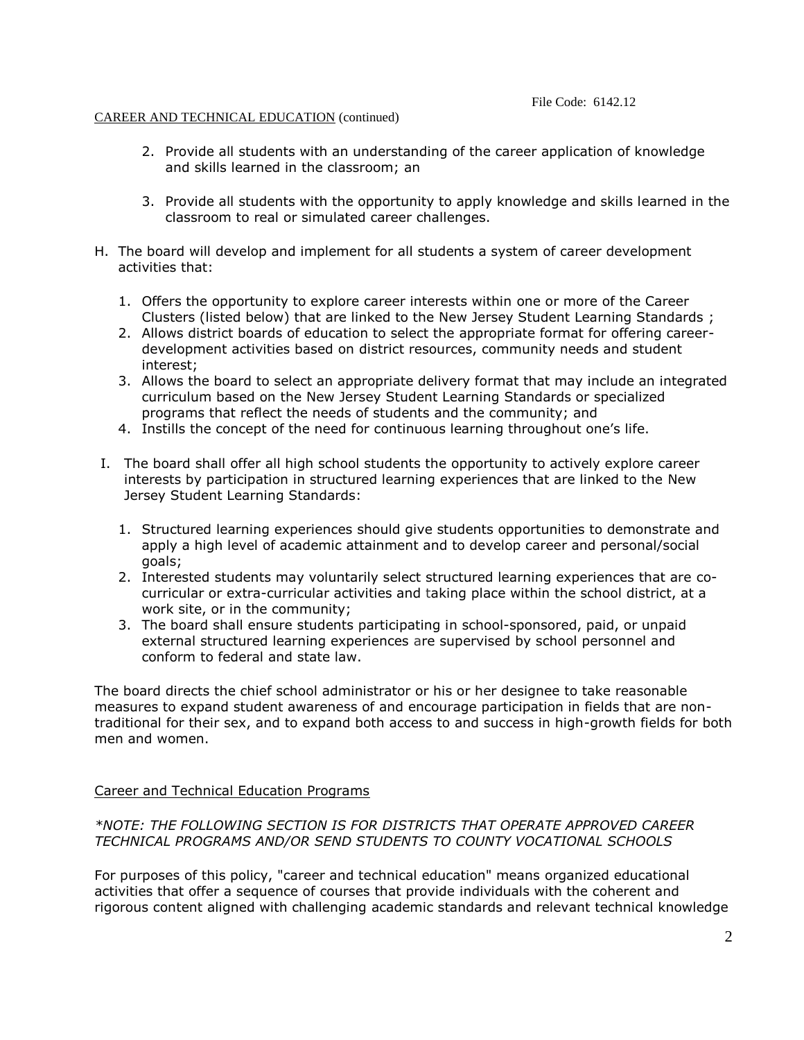- 2. Provide all students with an understanding of the career application of knowledge and skills learned in the classroom; an
- 3. Provide all students with the opportunity to apply knowledge and skills learned in the classroom to real or simulated career challenges.
- H. The board will develop and implement for all students a system of career development activities that:
	- 1. Offers the opportunity to explore career interests within one or more of the Career Clusters (listed below) that are linked to the New Jersey Student Learning Standards ;
	- 2. Allows district boards of education to select the appropriate format for offering careerdevelopment activities based on district resources, community needs and student interest;
	- 3. Allows the board to select an appropriate delivery format that may include an integrated curriculum based on the New Jersey Student Learning Standards or specialized programs that reflect the needs of students and the community; and
	- 4. Instills the concept of the need for continuous learning throughout one's life.
- I. The board shall offer all high school students the opportunity to actively explore career interests by participation in structured learning experiences that are linked to the New Jersey Student Learning Standards:
	- 1. Structured learning experiences should give students opportunities to demonstrate and apply a high level of academic attainment and to develop career and personal/social goals;
	- 2. Interested students may voluntarily select structured learning experiences that are cocurricular or extra-curricular activities and taking place within the school district, at a work site, or in the community;
	- 3. The board shall ensure students participating in school-sponsored, paid, or unpaid external structured learning experiences are supervised by school personnel and conform to federal and state law.

The board directs the chief school administrator or his or her designee to take reasonable measures to expand student awareness of and encourage participation in fields that are nontraditional for their sex, and to expand both access to and success in high-growth fields for both men and women.

## Career and Technical Education Programs

# *\*NOTE: THE FOLLOWING SECTION IS FOR DISTRICTS THAT OPERATE APPROVED CAREER TECHNICAL PROGRAMS AND/OR SEND STUDENTS TO COUNTY VOCATIONAL SCHOOLS*

For purposes of this policy, "career and technical education" means organized educational activities that offer a sequence of courses that provide individuals with the coherent and rigorous content aligned with challenging academic standards and relevant technical knowledge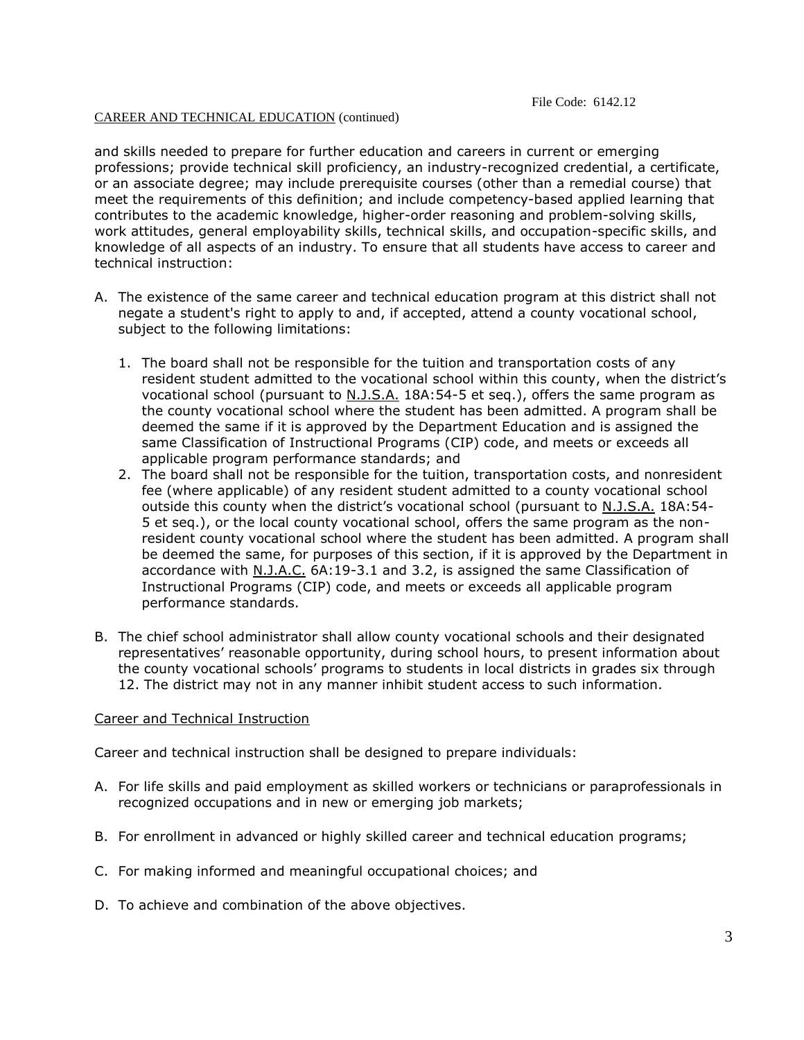and skills needed to prepare for further education and careers in current or emerging professions; provide technical skill proficiency, an industry-recognized credential, a certificate, or an associate degree; may include prerequisite courses (other than a remedial course) that meet the requirements of this definition; and include competency-based applied learning that contributes to the academic knowledge, higher-order reasoning and problem-solving skills, work attitudes, general employability skills, technical skills, and occupation-specific skills, and knowledge of all aspects of an industry. To ensure that all students have access to career and technical instruction:

- A. The existence of the same career and technical education program at this district shall not negate a student's right to apply to and, if accepted, attend a county vocational school, subject to the following limitations:
	- 1. The board shall not be responsible for the tuition and transportation costs of any resident student admitted to the vocational school within this county, when the district's vocational school (pursuant to N.J.S.A. 18A:54-5 et seq.), offers the same program as the county vocational school where the student has been admitted. A program shall be deemed the same if it is approved by the Department Education and is assigned the same Classification of Instructional Programs (CIP) code, and meets or exceeds all applicable program performance standards; and
	- 2. The board shall not be responsible for the tuition, transportation costs, and nonresident fee (where applicable) of any resident student admitted to a county vocational school outside this county when the district's vocational school (pursuant to N.J.S.A. 18A:54- 5 et seq.), or the local county vocational school, offers the same program as the nonresident county vocational school where the student has been admitted. A program shall be deemed the same, for purposes of this section, if it is approved by the Department in accordance with N.J.A.C. 6A:19-3.1 and 3.2, is assigned the same Classification of Instructional Programs (CIP) code, and meets or exceeds all applicable program performance standards.
- B. The chief school administrator shall allow county vocational schools and their designated representatives' reasonable opportunity, during school hours, to present information about the county vocational schools' programs to students in local districts in grades six through 12. The district may not in any manner inhibit student access to such information.

## Career and Technical Instruction

Career and technical instruction shall be designed to prepare individuals:

- A. For life skills and paid employment as skilled workers or technicians or paraprofessionals in recognized occupations and in new or emerging job markets;
- B. For enrollment in advanced or highly skilled career and technical education programs;
- C. For making informed and meaningful occupational choices; and
- D. To achieve and combination of the above objectives.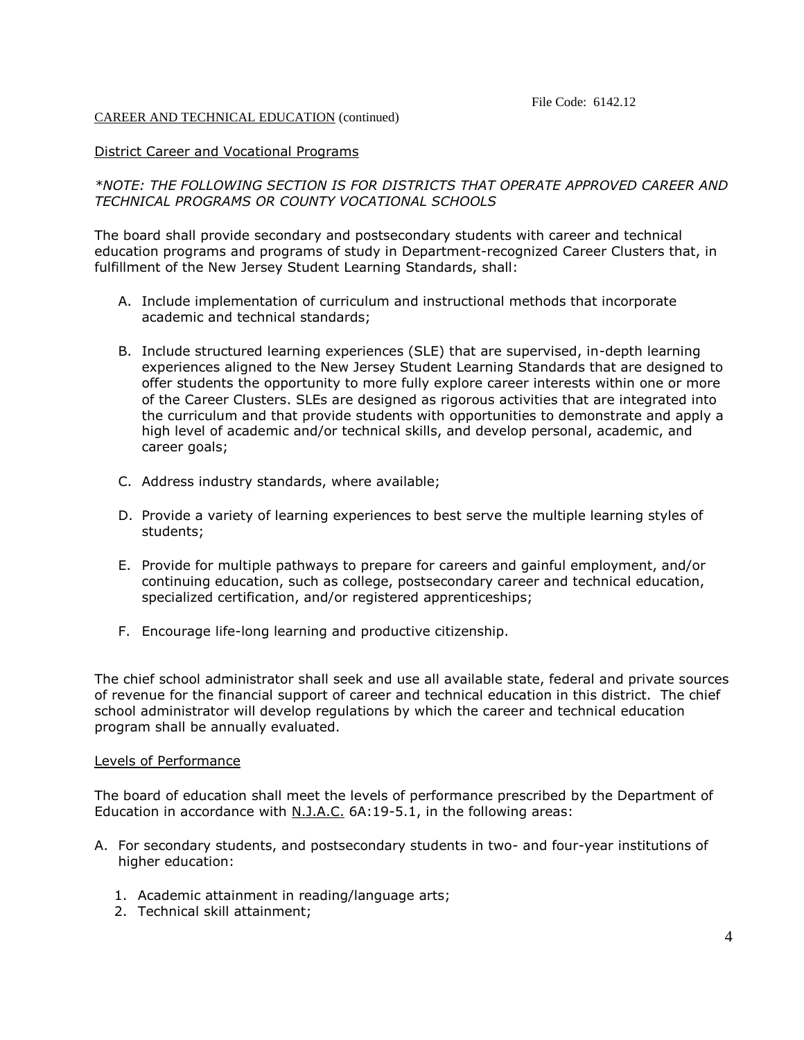## District Career and Vocational Programs

## *\*NOTE: THE FOLLOWING SECTION IS FOR DISTRICTS THAT OPERATE APPROVED CAREER AND TECHNICAL PROGRAMS OR COUNTY VOCATIONAL SCHOOLS*

The board shall provide secondary and postsecondary students with career and technical education programs and programs of study in Department-recognized Career Clusters that, in fulfillment of the New Jersey Student Learning Standards, shall:

- A. Include implementation of curriculum and instructional methods that incorporate academic and technical standards;
- B. Include structured learning experiences (SLE) that are supervised, in-depth learning experiences aligned to the New Jersey Student Learning Standards that are designed to offer students the opportunity to more fully explore career interests within one or more of the Career Clusters. SLEs are designed as rigorous activities that are integrated into the curriculum and that provide students with opportunities to demonstrate and apply a high level of academic and/or technical skills, and develop personal, academic, and career goals;
- C. Address industry standards, where available;
- D. Provide a variety of learning experiences to best serve the multiple learning styles of students;
- E. Provide for multiple pathways to prepare for careers and gainful employment, and/or continuing education, such as college, postsecondary career and technical education, specialized certification, and/or registered apprenticeships;
- F. Encourage life-long learning and productive citizenship.

The chief school administrator shall seek and use all available state, federal and private sources of revenue for the financial support of career and technical education in this district. The chief school administrator will develop regulations by which the career and technical education program shall be annually evaluated.

#### Levels of Performance

The board of education shall meet the levels of performance prescribed by the Department of Education in accordance with N.J.A.C. 6A:19-5.1, in the following areas:

- A. For secondary students, and postsecondary students in two- and four-year institutions of higher education:
	- 1. Academic attainment in reading/language arts;
	- 2. Technical skill attainment;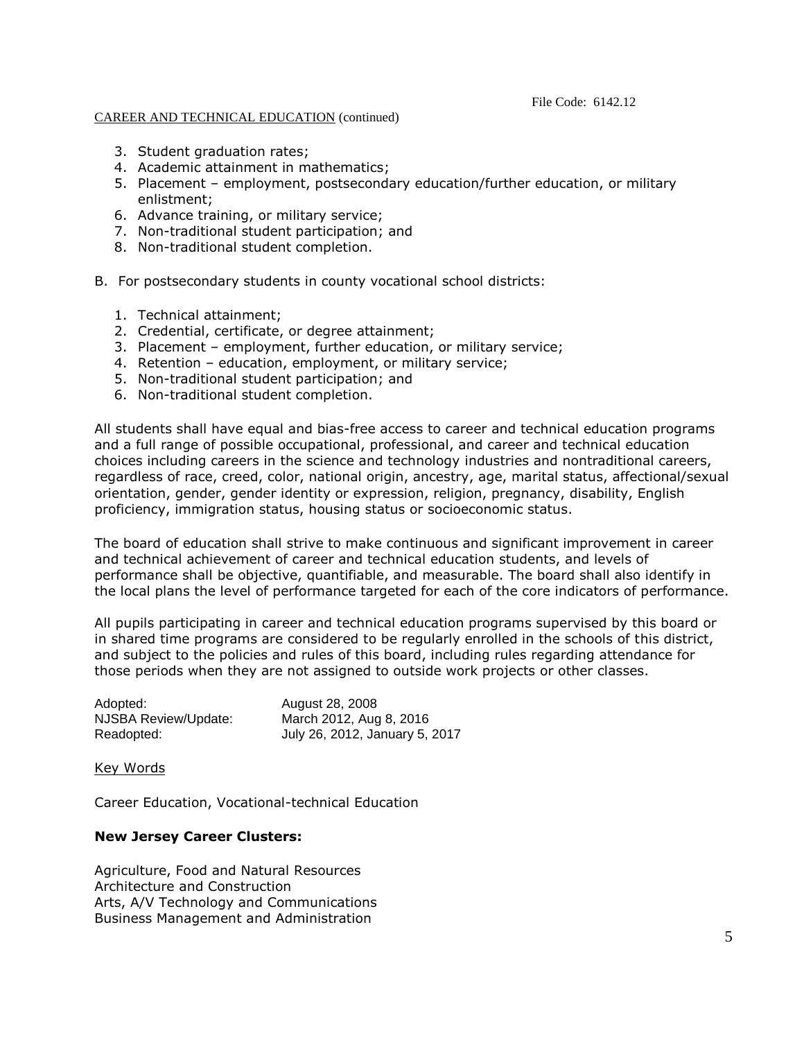- 3. Student graduation rates;
- 4. Academic attainment in mathematics;
- 5. Placement employment, postsecondary education/further education, or military enlistment;
- 6. Advance training, or military service;
- 7. Non-traditional student participation; and
- 8. Non-traditional student completion.
- B. For postsecondary students in county vocational school districts:
	- 1. Technical attainment;
	- 2. Credential, certificate, or degree attainment;
	- 3. Placement employment, further education, or military service;
	- 4. Retention education, employment, or military service;
	- 5. Non-traditional student participation; and
	- 6. Non-traditional student completion.

All students shall have equal and bias-free access to career and technical education programs and a full range of possible occupational, professional, and career and technical education choices including careers in the science and technology industries and nontraditional careers, regardless of race, creed, color, national origin, ancestry, age, marital status, affectional/sexual orientation, gender, gender identity or expression, religion, pregnancy, disability, English proficiency, immigration status, housing status or socioeconomic status.

The board of education shall strive to make continuous and significant improvement in career and technical achievement of career and technical education students, and levels of performance shall be objective, quantifiable, and measurable. The board shall also identify in the local plans the level of performance targeted for each of the core indicators of performance.

All pupils participating in career and technical education programs supervised by this board or in shared time programs are considered to be regularly enrolled in the schools of this district, and subject to the policies and rules of this board, including rules regarding attendance for those periods when they are not assigned to outside work projects or other classes.

| Adopted:             | August 28, 2008                |
|----------------------|--------------------------------|
| NJSBA Review/Update: | March 2012, Aug 8, 2016        |
| Readopted:           | July 26, 2012, January 5, 2017 |

Key Words

Career Education, Vocational-technical Education

## **New Jersey Career Clusters:**

Agriculture, Food and Natural Resources Architecture and Construction Arts, A/V Technology and Communications Business Management and Administration